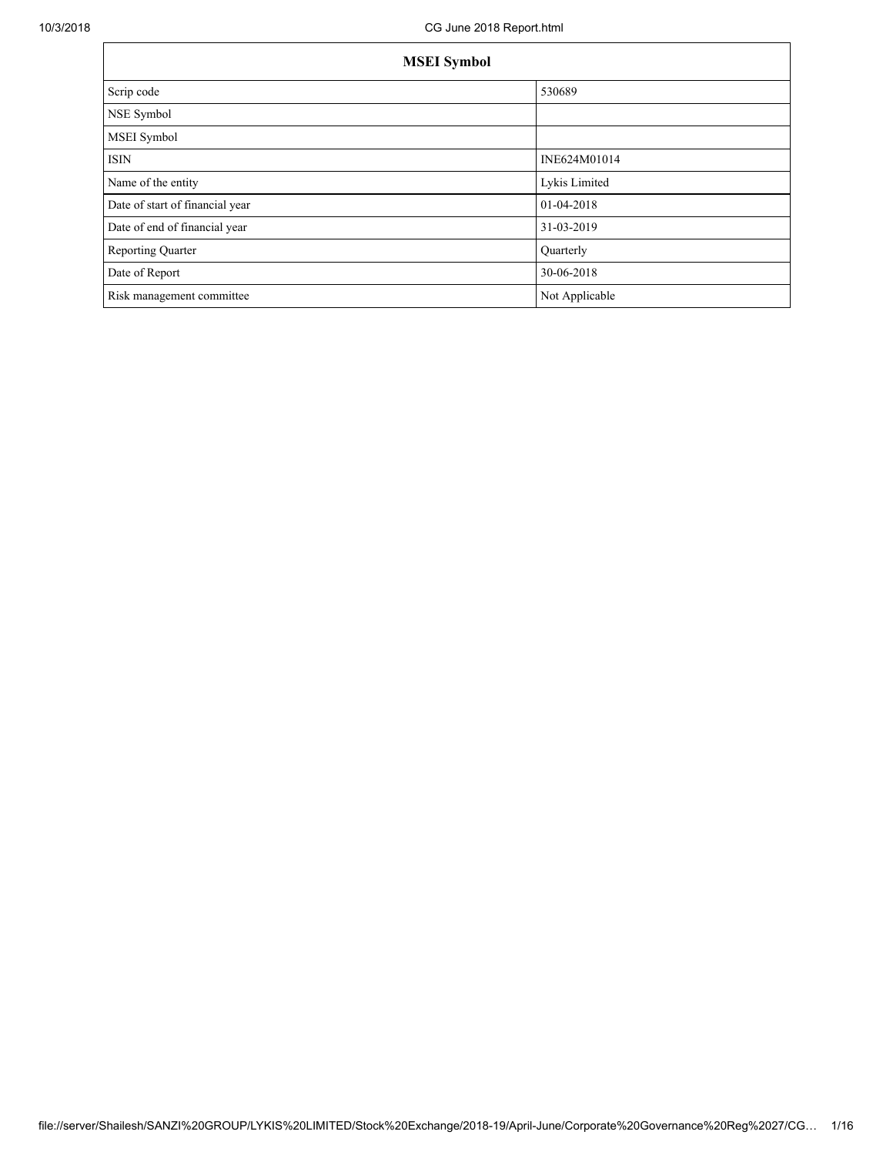| <b>MSEI</b> Symbol              |                |  |  |  |  |
|---------------------------------|----------------|--|--|--|--|
| Scrip code                      | 530689         |  |  |  |  |
| NSE Symbol                      |                |  |  |  |  |
| <b>MSEI</b> Symbol              |                |  |  |  |  |
| <b>ISIN</b>                     | INE624M01014   |  |  |  |  |
| Name of the entity              | Lykis Limited  |  |  |  |  |
| Date of start of financial year | 01-04-2018     |  |  |  |  |
| Date of end of financial year   | 31-03-2019     |  |  |  |  |
| <b>Reporting Quarter</b>        | Quarterly      |  |  |  |  |
| Date of Report                  | 30-06-2018     |  |  |  |  |
| Risk management committee       | Not Applicable |  |  |  |  |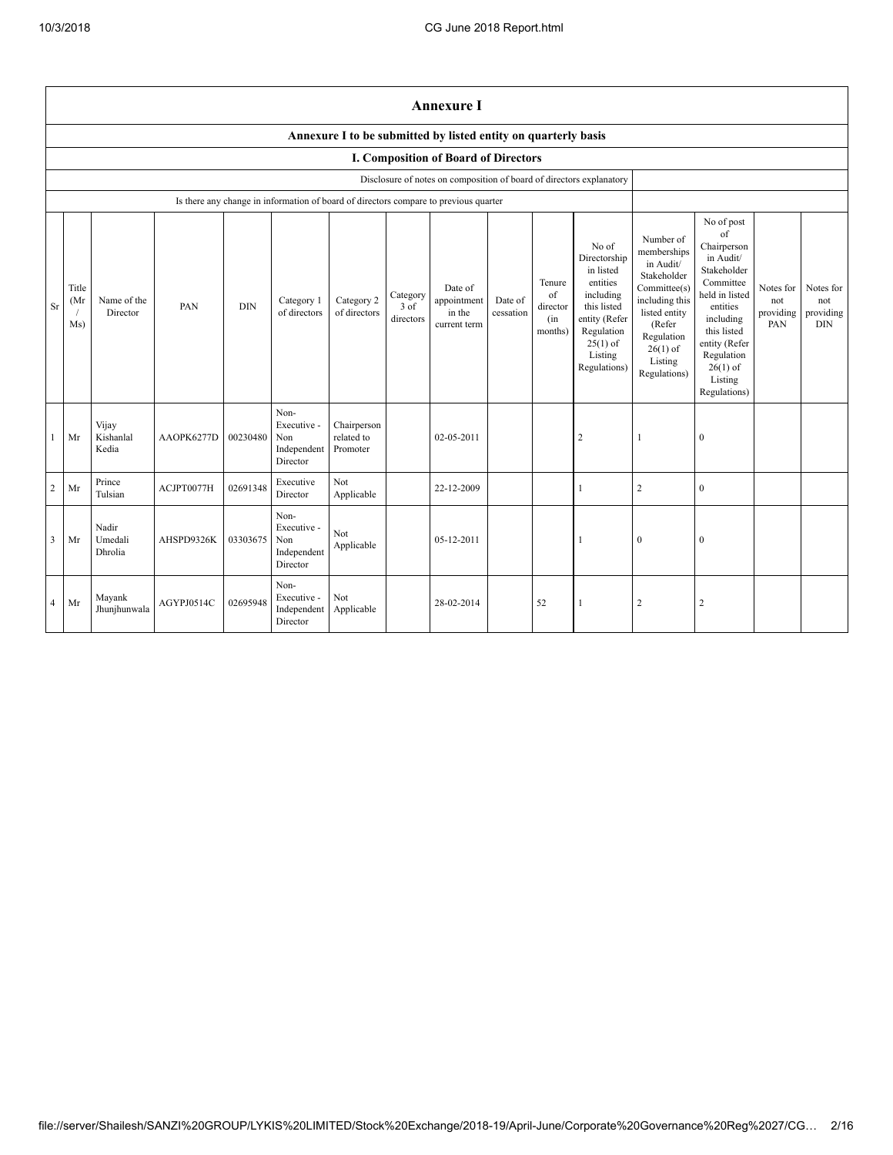|                         | <b>Annexure I</b>                                              |                             |            |            |                                                                                      |                                       |                               |                                                                      |                      |                                            |                                                                                                                                                    |                                                                                                                                                                          |                                                                                                                                                                                              |                                      |                                             |
|-------------------------|----------------------------------------------------------------|-----------------------------|------------|------------|--------------------------------------------------------------------------------------|---------------------------------------|-------------------------------|----------------------------------------------------------------------|----------------------|--------------------------------------------|----------------------------------------------------------------------------------------------------------------------------------------------------|--------------------------------------------------------------------------------------------------------------------------------------------------------------------------|----------------------------------------------------------------------------------------------------------------------------------------------------------------------------------------------|--------------------------------------|---------------------------------------------|
|                         | Annexure I to be submitted by listed entity on quarterly basis |                             |            |            |                                                                                      |                                       |                               |                                                                      |                      |                                            |                                                                                                                                                    |                                                                                                                                                                          |                                                                                                                                                                                              |                                      |                                             |
|                         |                                                                |                             |            |            |                                                                                      |                                       |                               | I. Composition of Board of Directors                                 |                      |                                            |                                                                                                                                                    |                                                                                                                                                                          |                                                                                                                                                                                              |                                      |                                             |
|                         |                                                                |                             |            |            |                                                                                      |                                       |                               | Disclosure of notes on composition of board of directors explanatory |                      |                                            |                                                                                                                                                    |                                                                                                                                                                          |                                                                                                                                                                                              |                                      |                                             |
|                         |                                                                |                             |            |            | Is there any change in information of board of directors compare to previous quarter |                                       |                               |                                                                      |                      |                                            |                                                                                                                                                    |                                                                                                                                                                          | No of post                                                                                                                                                                                   |                                      |                                             |
| Sr                      | Title<br>(Mr<br>Ms)                                            | Name of the<br>Director     | PAN        | <b>DIN</b> | Category 1<br>of directors                                                           | Category 2<br>of directors            | Category<br>3 of<br>directors | Date of<br>appointment<br>in the<br>current term                     | Date of<br>cessation | Tenure<br>of<br>director<br>(in<br>months) | No of<br>Directorship<br>in listed<br>entities<br>including<br>this listed<br>entity (Refer<br>Regulation<br>$25(1)$ of<br>Listing<br>Regulations) | Number of<br>memberships<br>in Audit/<br>Stakeholder<br>Committee(s)<br>including this<br>listed entity<br>(Refer<br>Regulation<br>$26(1)$ of<br>Listing<br>Regulations) | of<br>Chairperson<br>in Audit/<br>Stakeholder<br>Committee<br>held in listed<br>entities<br>including<br>this listed<br>entity (Refer<br>Regulation<br>$26(1)$ of<br>Listing<br>Regulations) | Notes for<br>not<br>providing<br>PAN | Notes for<br>not<br>providing<br><b>DIN</b> |
|                         | Mr                                                             | Vijay<br>Kishanlal<br>Kedia | AAOPK6277D | 00230480   | Non-<br>Executive -<br>Non<br>Independent<br>Director                                | Chairperson<br>related to<br>Promoter |                               | 02-05-2011                                                           |                      |                                            | 2                                                                                                                                                  |                                                                                                                                                                          | $\mathbf{0}$                                                                                                                                                                                 |                                      |                                             |
| $\overline{c}$          | Mr                                                             | Prince<br>Tulsian           | ACJPT0077H | 02691348   | Executive<br>Director                                                                | Not<br>Applicable                     |                               | 22-12-2009                                                           |                      |                                            |                                                                                                                                                    | $\overline{2}$                                                                                                                                                           | $\mathbf{0}$                                                                                                                                                                                 |                                      |                                             |
| $\overline{\mathbf{3}}$ | Mr                                                             | Nadir<br>Umedali<br>Dhrolia | AHSPD9326K | 03303675   | Non-<br>Executive -<br>Non<br>Independent<br>Director                                | Not<br>Applicable                     |                               | 05-12-2011                                                           |                      |                                            |                                                                                                                                                    | $\theta$                                                                                                                                                                 | $\mathbf{0}$                                                                                                                                                                                 |                                      |                                             |
| $\overline{4}$          | Mr                                                             | Mayank<br>Jhunjhunwala      | AGYPJ0514C | 02695948   | Non-<br>Executive -<br>Independent<br>Director                                       | Not<br>Applicable                     |                               | 28-02-2014                                                           |                      | 52                                         |                                                                                                                                                    | 2                                                                                                                                                                        | $\overline{2}$                                                                                                                                                                               |                                      |                                             |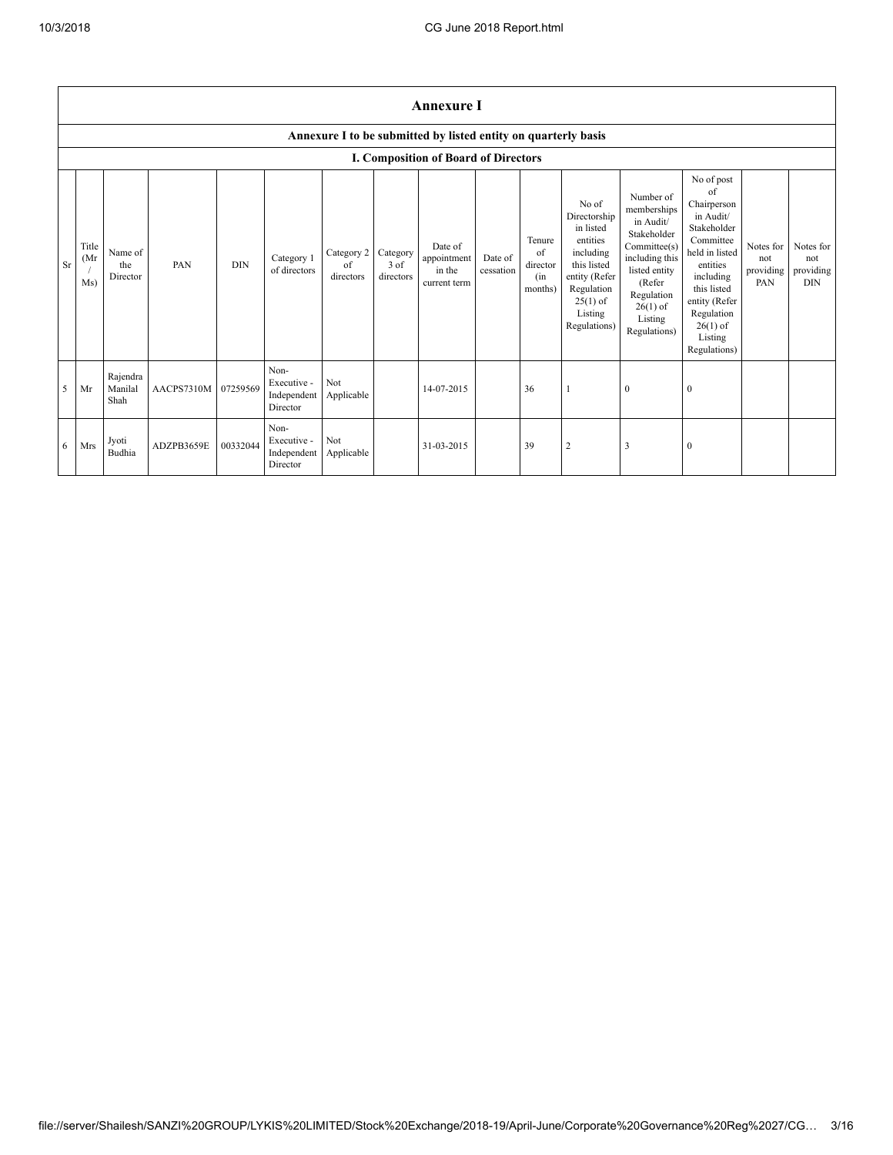|    | <b>Annexure I</b>                    |                             |            |            |                                                |                               |                               |                                                                |                      |                                            |                                                                                                                                                    |                                                                                                                                                                          |                                                                                                                                                                                                            |                                      |                                             |
|----|--------------------------------------|-----------------------------|------------|------------|------------------------------------------------|-------------------------------|-------------------------------|----------------------------------------------------------------|----------------------|--------------------------------------------|----------------------------------------------------------------------------------------------------------------------------------------------------|--------------------------------------------------------------------------------------------------------------------------------------------------------------------------|------------------------------------------------------------------------------------------------------------------------------------------------------------------------------------------------------------|--------------------------------------|---------------------------------------------|
|    |                                      |                             |            |            |                                                |                               |                               | Annexure I to be submitted by listed entity on quarterly basis |                      |                                            |                                                                                                                                                    |                                                                                                                                                                          |                                                                                                                                                                                                            |                                      |                                             |
|    | I. Composition of Board of Directors |                             |            |            |                                                |                               |                               |                                                                |                      |                                            |                                                                                                                                                    |                                                                                                                                                                          |                                                                                                                                                                                                            |                                      |                                             |
| Sr | Title<br>(Mr)<br>Ms)                 | Name of<br>the<br>Director  | PAN        | <b>DIN</b> | Category 1<br>of directors                     | Category 2<br>of<br>directors | Category<br>3 of<br>directors | Date of<br>appointment<br>in the<br>current term               | Date of<br>cessation | Tenure<br>of<br>director<br>(in<br>months) | No of<br>Directorship<br>in listed<br>entities<br>including<br>this listed<br>entity (Refer<br>Regulation<br>$25(1)$ of<br>Listing<br>Regulations) | Number of<br>memberships<br>in Audit/<br>Stakeholder<br>Committee(s)<br>including this<br>listed entity<br>(Refer<br>Regulation<br>$26(1)$ of<br>Listing<br>Regulations) | No of post<br>of<br>Chairperson<br>in Audit/<br>Stakeholder<br>Committee<br>held in listed<br>entities<br>including<br>this listed<br>entity (Refer<br>Regulation<br>$26(1)$ of<br>Listing<br>Regulations) | Notes for<br>not<br>providing<br>PAN | Notes for<br>not<br>providing<br><b>DIN</b> |
| 5  | Mr                                   | Rajendra<br>Manilal<br>Shah | AACPS7310M | 07259569   | Non-<br>Executive -<br>Independent<br>Director | Not<br>Applicable             |                               | 14-07-2015                                                     |                      | 36                                         |                                                                                                                                                    | $\mathbf{0}$                                                                                                                                                             | $\theta$                                                                                                                                                                                                   |                                      |                                             |
| 6  | Mrs                                  | Jyoti<br>Budhia             | ADZPB3659E | 00332044   | Non-<br>Executive -<br>Independent<br>Director | Not<br>Applicable             |                               | 31-03-2015                                                     |                      | 39                                         | $\overline{2}$                                                                                                                                     | 3                                                                                                                                                                        | $\Omega$                                                                                                                                                                                                   |                                      |                                             |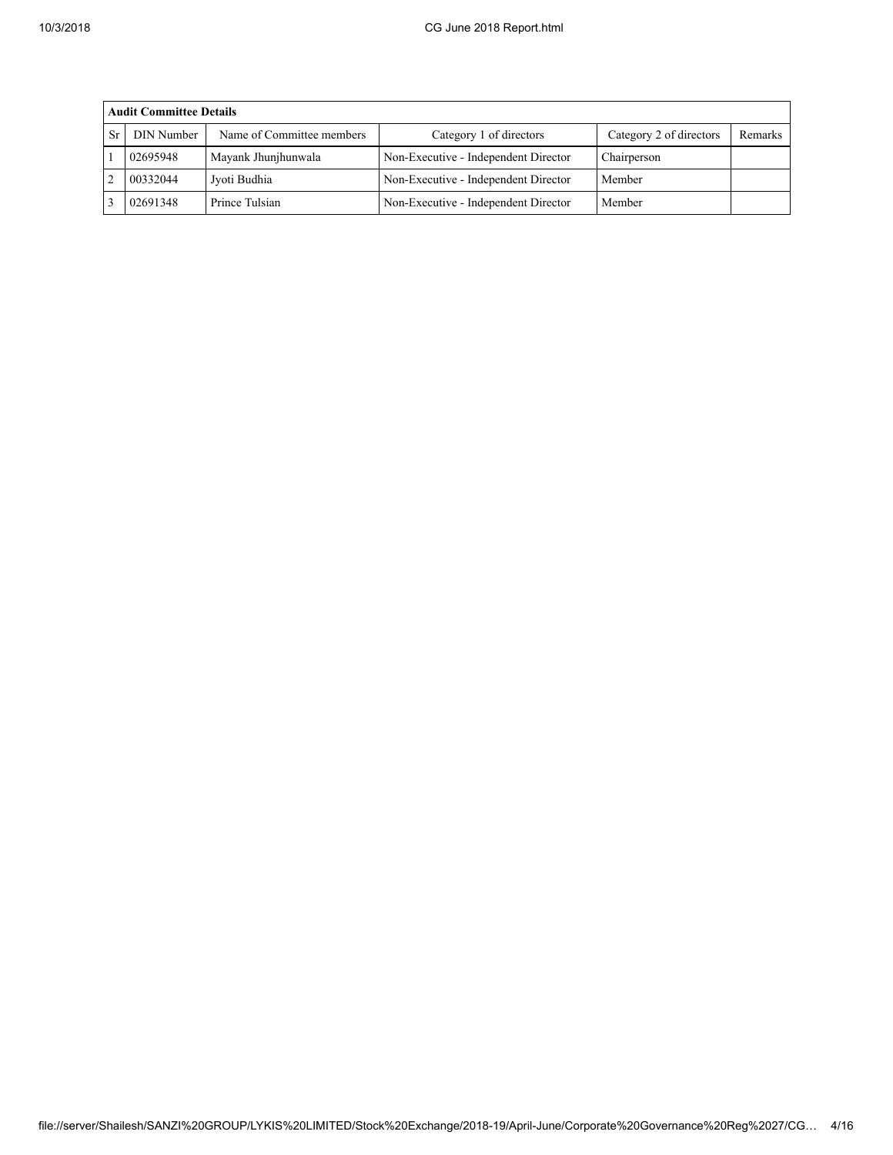|    | <b>Audit Committee Details</b> |                           |                                      |                         |         |  |  |  |
|----|--------------------------------|---------------------------|--------------------------------------|-------------------------|---------|--|--|--|
| Sr | <b>DIN Number</b>              | Name of Committee members | Category 1 of directors              | Category 2 of directors | Remarks |  |  |  |
|    | 02695948                       | Mayank Jhunjhunwala       | Non-Executive - Independent Director | Chairperson             |         |  |  |  |
|    | 00332044                       | Jyoti Budhia              | Non-Executive - Independent Director | Member                  |         |  |  |  |
|    | 02691348                       | Prince Tulsian            | Non-Executive - Independent Director | Member                  |         |  |  |  |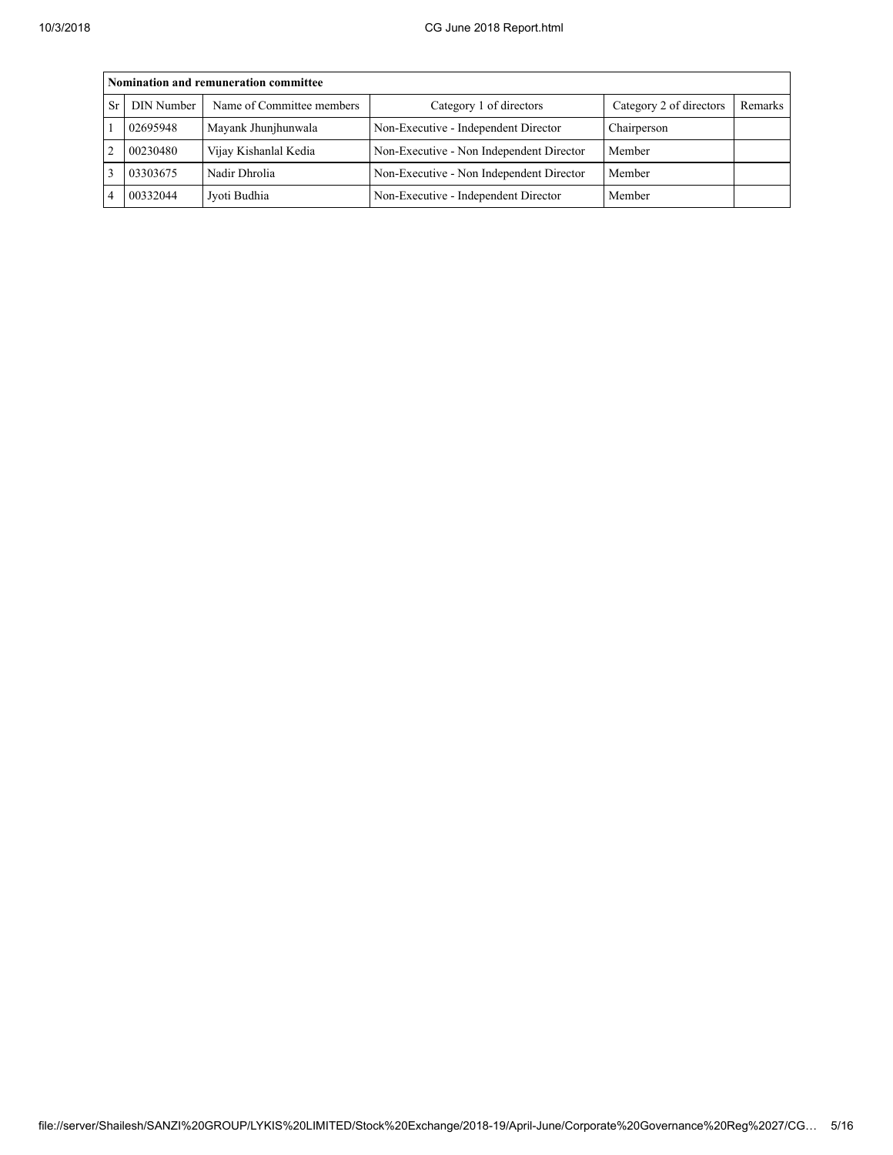|                | Nomination and remuneration committee |                           |                                          |                         |         |  |  |  |
|----------------|---------------------------------------|---------------------------|------------------------------------------|-------------------------|---------|--|--|--|
| <b>Sr</b>      | DIN Number                            | Name of Committee members | Category 1 of directors                  | Category 2 of directors | Remarks |  |  |  |
|                | 02695948                              | Mayank Jhunjhunwala       | Non-Executive - Independent Director     | Chairperson             |         |  |  |  |
| $\mathfrak{D}$ | 00230480                              | Vijay Kishanlal Kedia     | Non-Executive - Non Independent Director | Member                  |         |  |  |  |
|                | 03303675                              | Nadir Dhrolia             | Non-Executive - Non Independent Director | Member                  |         |  |  |  |
|                | 00332044                              | Jyoti Budhia              | Non-Executive - Independent Director     | Member                  |         |  |  |  |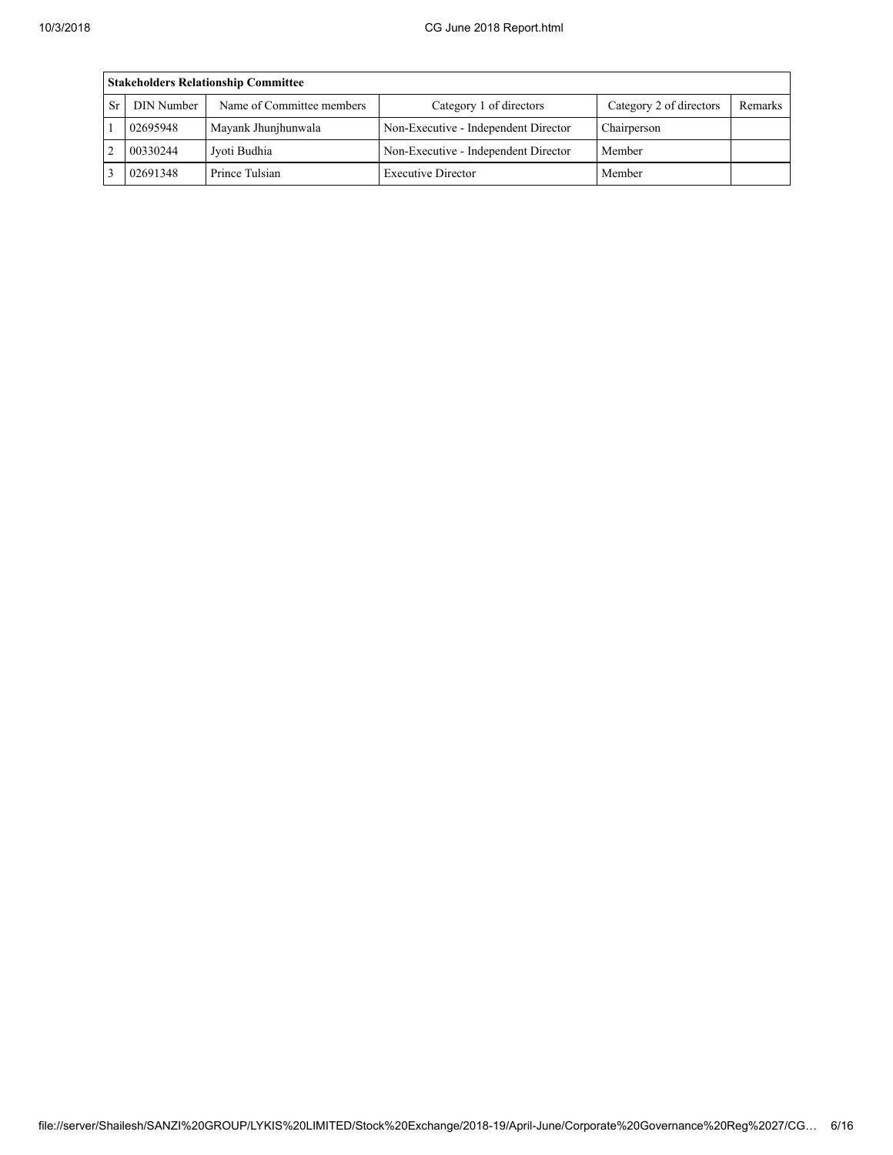| <b>Stakeholders Relationship Committee</b> |                           |                                      |                         |         |  |  |  |  |
|--------------------------------------------|---------------------------|--------------------------------------|-------------------------|---------|--|--|--|--|
| DIN Number                                 | Name of Committee members | Category 1 of directors              | Category 2 of directors | Remarks |  |  |  |  |
| 02695948                                   | Mayank Jhunjhunwala       | Non-Executive - Independent Director | Chairperson             |         |  |  |  |  |
| 00330244                                   | Jyoti Budhia              | Non-Executive - Independent Director | Member                  |         |  |  |  |  |
| 02691348                                   | Prince Tulsian            | <b>Executive Director</b>            | Member                  |         |  |  |  |  |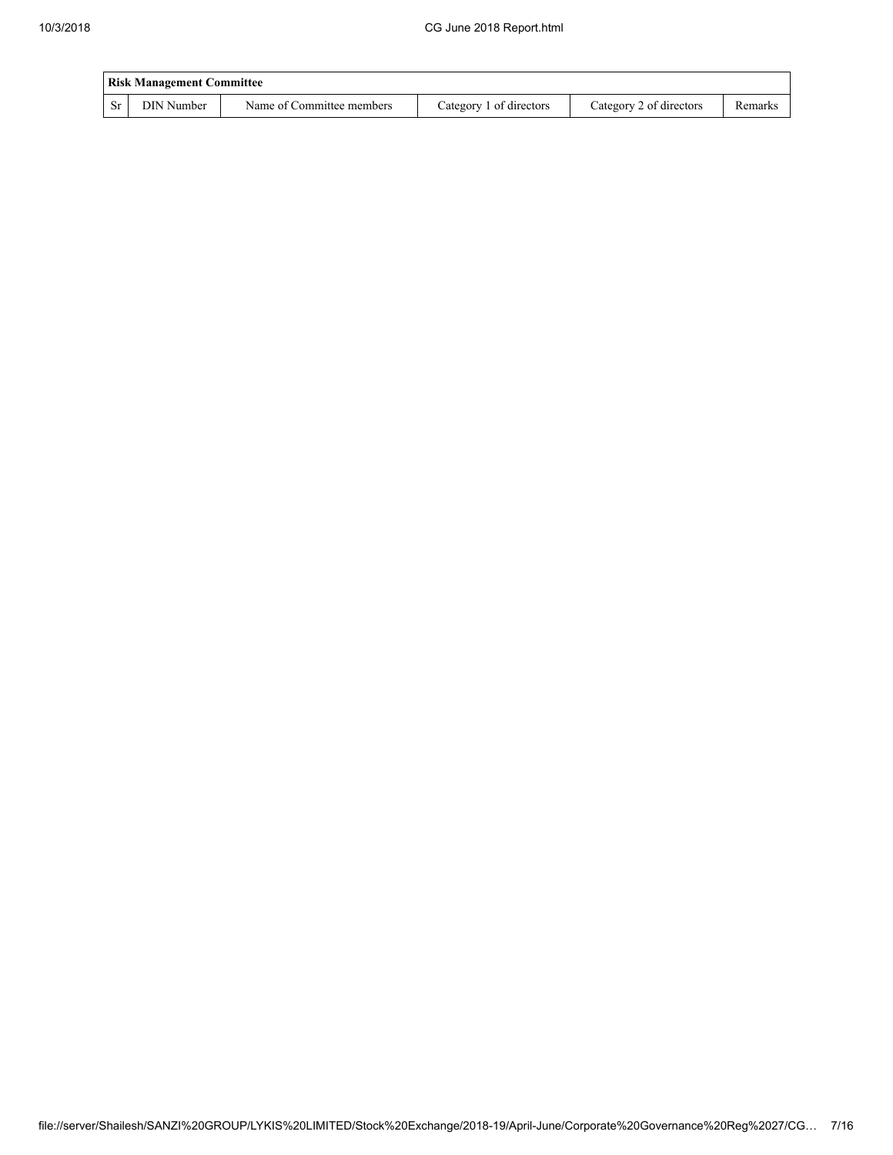|           | <b>Risk Management Committee</b> |                           |                         |                         |         |  |  |  |  |
|-----------|----------------------------------|---------------------------|-------------------------|-------------------------|---------|--|--|--|--|
| <b>Sr</b> | DIN Number                       | Name of Committee members | Category 1 of directors | Category 2 of directors | Remarks |  |  |  |  |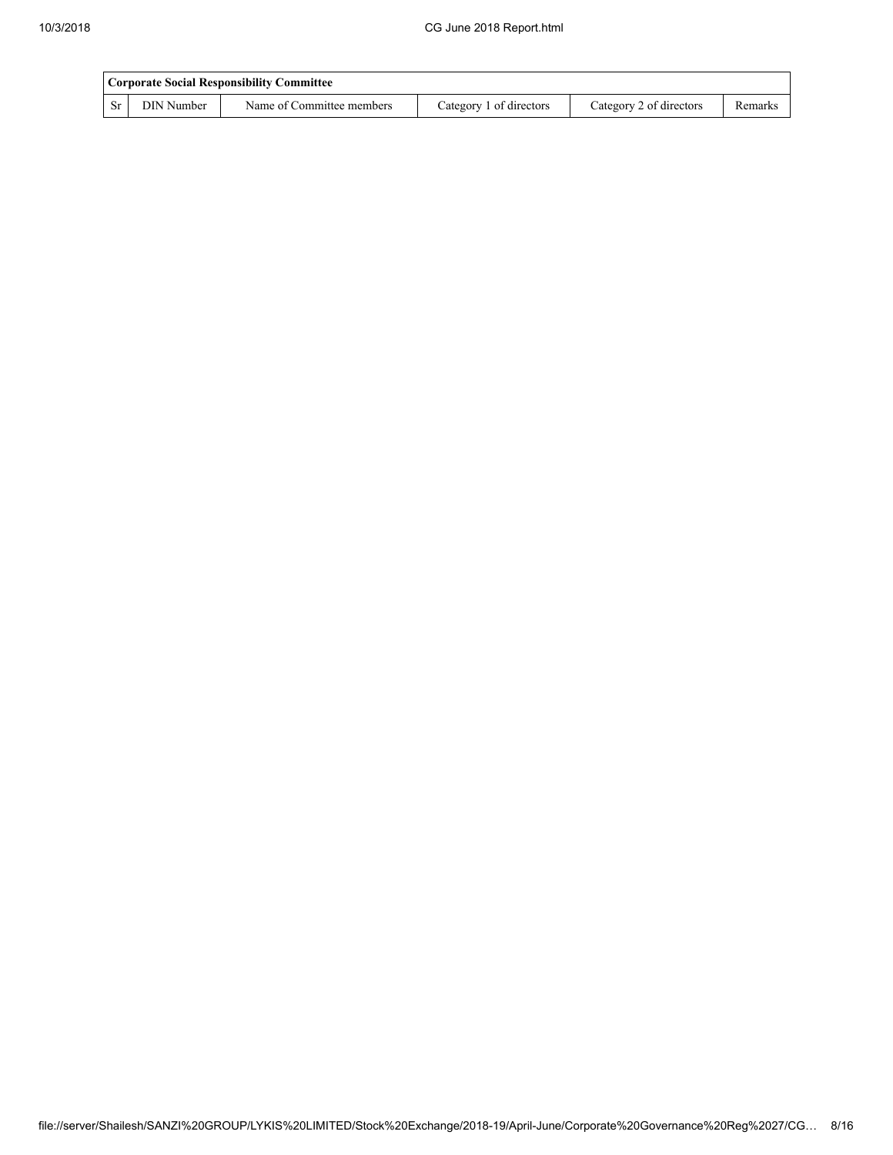|    | <b>Corporate Social Responsibility Committee</b> |                           |                         |                         |         |  |  |  |  |
|----|--------------------------------------------------|---------------------------|-------------------------|-------------------------|---------|--|--|--|--|
| Sr | DIN Number                                       | Name of Committee members | Category 1 of directors | Category 2 of directors | Remarks |  |  |  |  |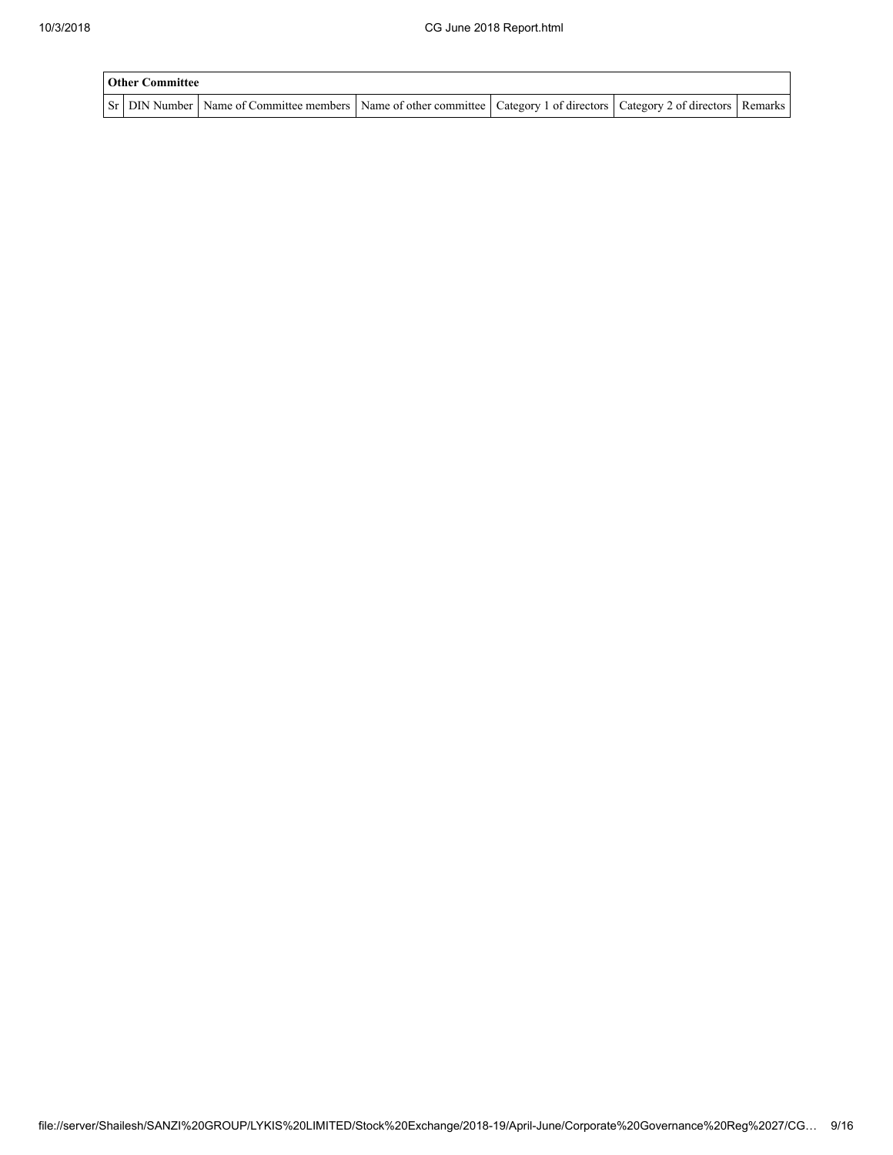| <b>Other Committee</b> |                                                                                                                                     |  |  |  |  |  |  |  |
|------------------------|-------------------------------------------------------------------------------------------------------------------------------------|--|--|--|--|--|--|--|
|                        | Sr   DIN Number   Name of Committee members   Name of other committee   Category 1 of directors   Category 2 of directors   Remarks |  |  |  |  |  |  |  |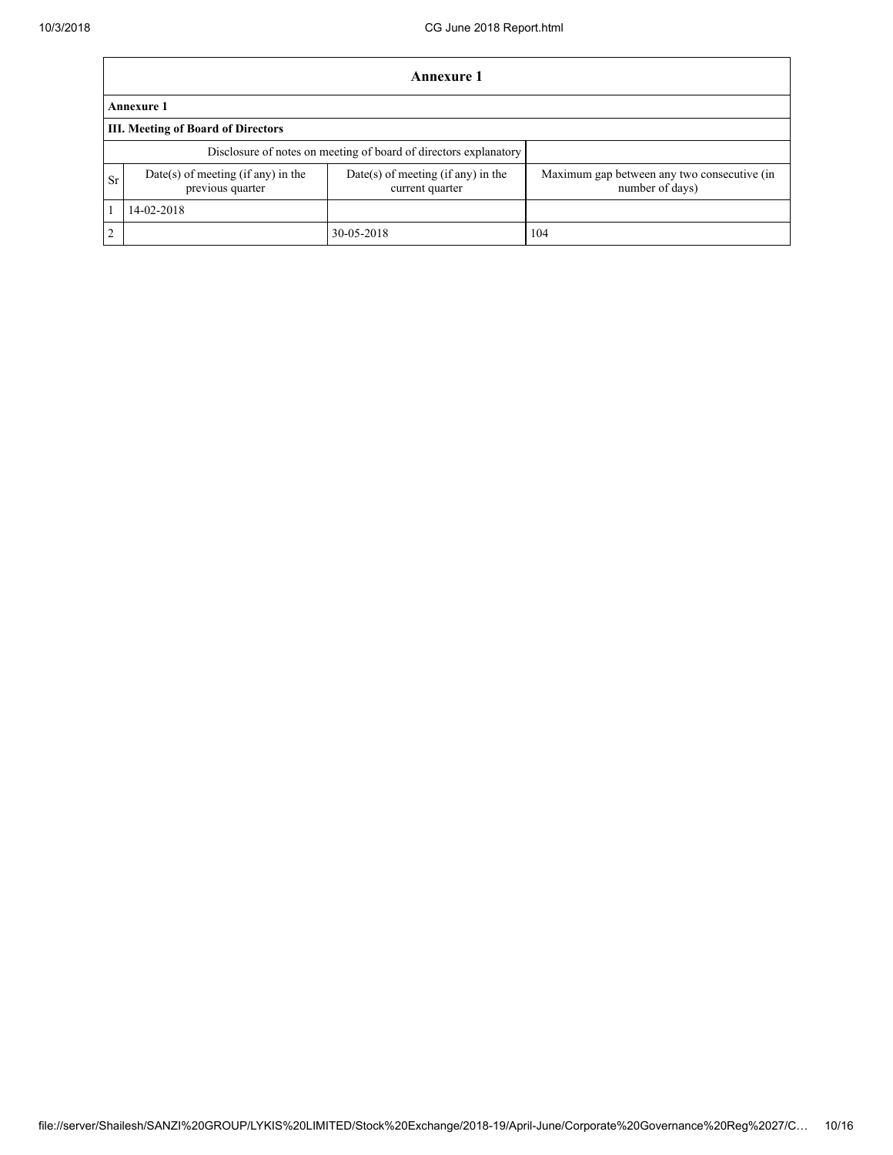|                | Annexure 1                                                       |                                                         |                                                                |  |  |  |  |  |
|----------------|------------------------------------------------------------------|---------------------------------------------------------|----------------------------------------------------------------|--|--|--|--|--|
|                | <b>Annexure 1</b>                                                |                                                         |                                                                |  |  |  |  |  |
|                | III. Meeting of Board of Directors                               |                                                         |                                                                |  |  |  |  |  |
|                | Disclosure of notes on meeting of board of directors explanatory |                                                         |                                                                |  |  |  |  |  |
| <b>Sr</b>      | Date(s) of meeting (if any) in the<br>previous quarter           | $Date(s)$ of meeting (if any) in the<br>current quarter | Maximum gap between any two consecutive (in<br>number of days) |  |  |  |  |  |
|                | 14-02-2018                                                       |                                                         |                                                                |  |  |  |  |  |
| $\overline{2}$ |                                                                  | 30-05-2018                                              | 104                                                            |  |  |  |  |  |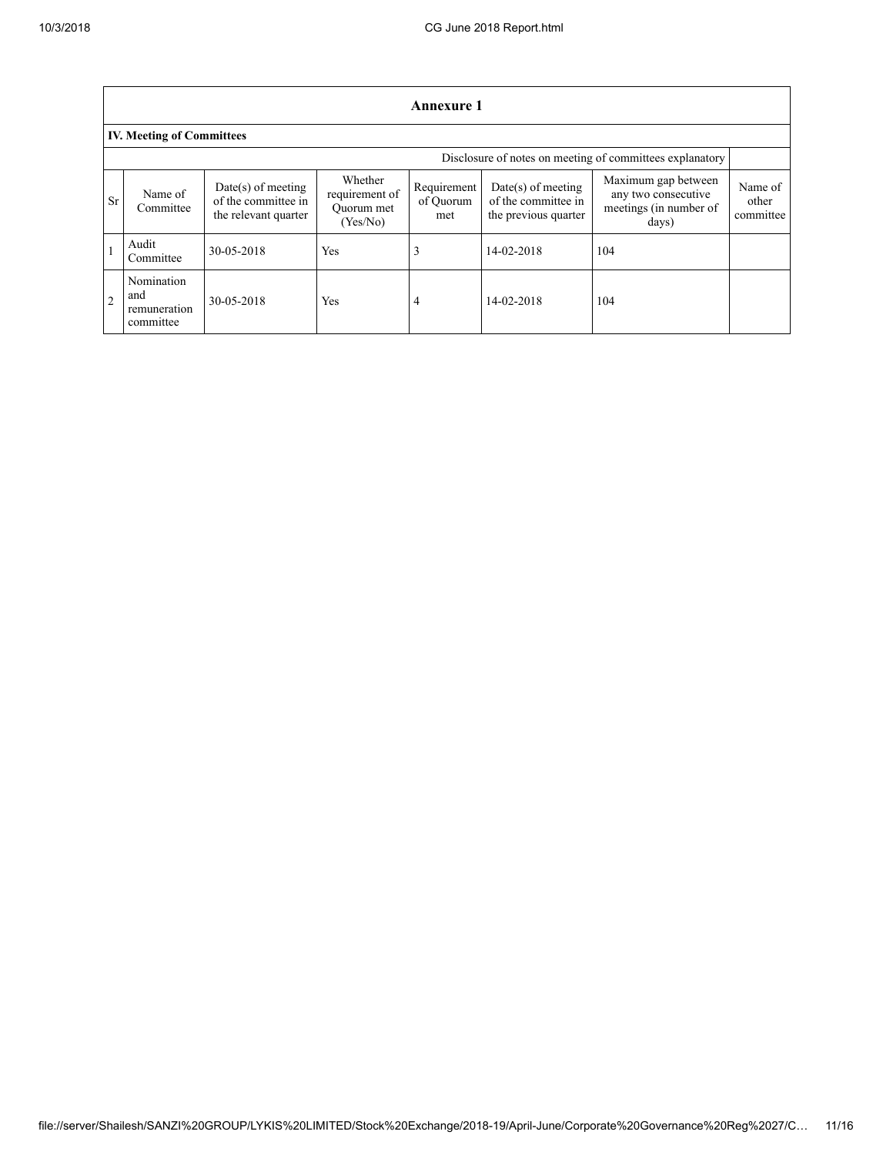| Annexure 1     |                                                          |                                                                     |                                                     |                                 |                                                                     |                                                                               |                               |  |  |
|----------------|----------------------------------------------------------|---------------------------------------------------------------------|-----------------------------------------------------|---------------------------------|---------------------------------------------------------------------|-------------------------------------------------------------------------------|-------------------------------|--|--|
|                | <b>IV. Meeting of Committees</b>                         |                                                                     |                                                     |                                 |                                                                     |                                                                               |                               |  |  |
|                | Disclosure of notes on meeting of committees explanatory |                                                                     |                                                     |                                 |                                                                     |                                                                               |                               |  |  |
| <b>Sr</b>      | Name of<br>Committee                                     | $Date(s)$ of meeting<br>of the committee in<br>the relevant quarter | Whether<br>requirement of<br>Ouorum met<br>(Yes/No) | Requirement<br>of Quorum<br>met | $Date(s)$ of meeting<br>of the committee in<br>the previous quarter | Maximum gap between<br>any two consecutive<br>meetings (in number of<br>days) | Name of<br>other<br>committee |  |  |
|                | Audit<br>Committee                                       | 30-05-2018                                                          | Yes                                                 |                                 | 14-02-2018                                                          | 104                                                                           |                               |  |  |
| $\overline{2}$ | Nomination<br>and<br>remuneration<br>committee           | 30-05-2018                                                          | Yes                                                 | 4                               | 14-02-2018                                                          | 104                                                                           |                               |  |  |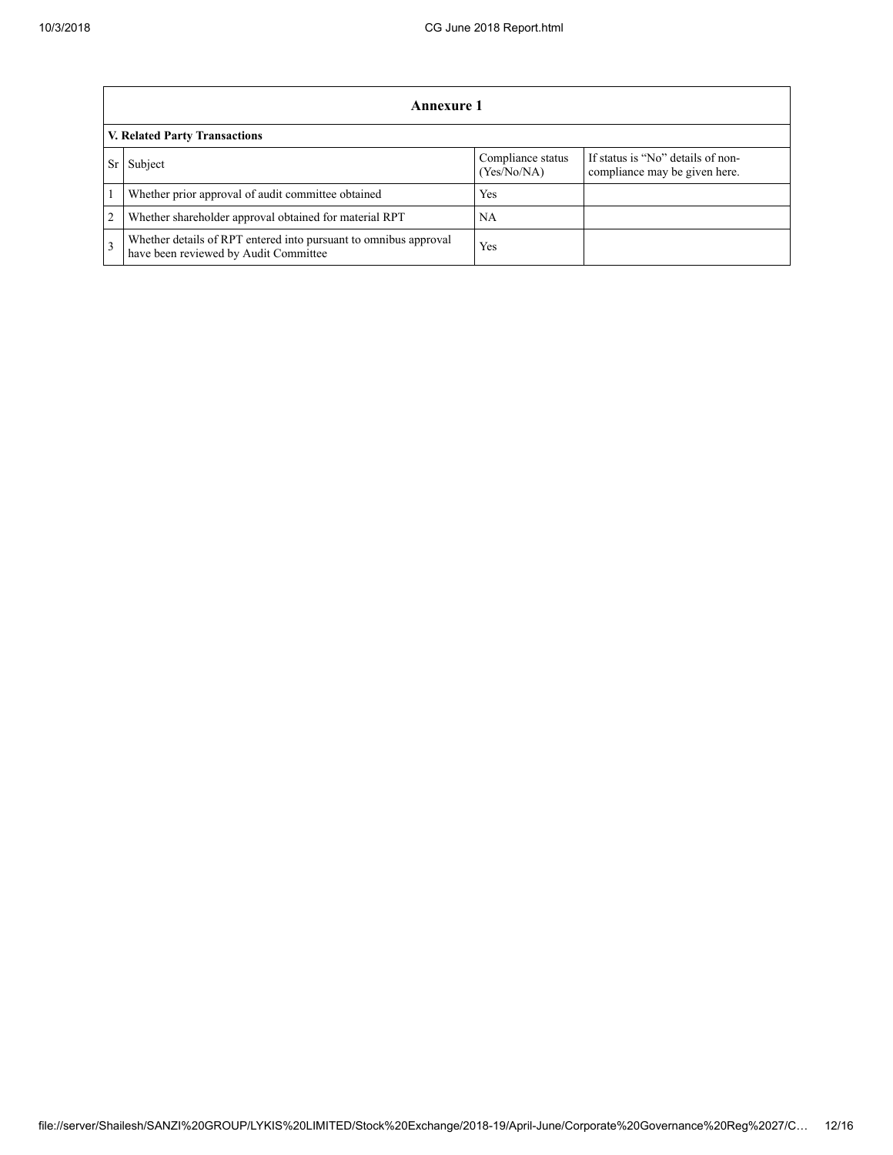|                | Annexure 1                                                                                                |                                  |                                                                    |  |  |  |  |
|----------------|-----------------------------------------------------------------------------------------------------------|----------------------------------|--------------------------------------------------------------------|--|--|--|--|
|                | V. Related Party Transactions                                                                             |                                  |                                                                    |  |  |  |  |
|                | Subject                                                                                                   | Compliance status<br>(Yes/No/NA) | If status is "No" details of non-<br>compliance may be given here. |  |  |  |  |
|                | Whether prior approval of audit committee obtained                                                        | Yes                              |                                                                    |  |  |  |  |
| $\overline{2}$ | Whether shareholder approval obtained for material RPT                                                    | NA                               |                                                                    |  |  |  |  |
|                | Whether details of RPT entered into pursuant to omnibus approval<br>have been reviewed by Audit Committee | Yes                              |                                                                    |  |  |  |  |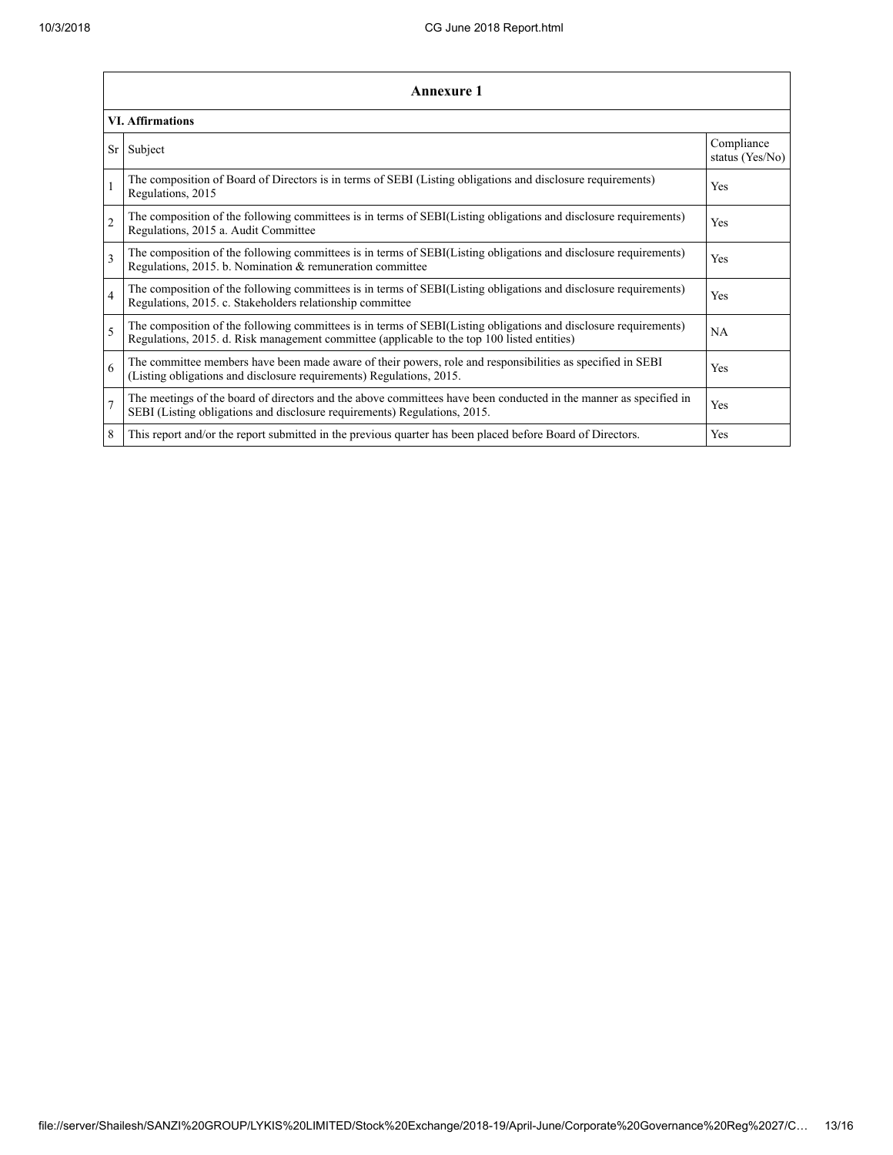| Annexure 1              |                                                                                                                                                                                                                 |                               |  |  |
|-------------------------|-----------------------------------------------------------------------------------------------------------------------------------------------------------------------------------------------------------------|-------------------------------|--|--|
| <b>VI.</b> Affirmations |                                                                                                                                                                                                                 |                               |  |  |
| Sr                      | Subject                                                                                                                                                                                                         | Compliance<br>status (Yes/No) |  |  |
| $\mathbf{1}$            | The composition of Board of Directors is in terms of SEBI (Listing obligations and disclosure requirements)<br>Regulations, 2015                                                                                | Yes                           |  |  |
| $\overline{2}$          | The composition of the following committees is in terms of SEBI(Listing obligations and disclosure requirements)<br>Regulations, 2015 a. Audit Committee                                                        | Yes                           |  |  |
| 3                       | The composition of the following committees is in terms of SEBI(Listing obligations and disclosure requirements)<br>Regulations, 2015. b. Nomination & remuneration committee                                   | <b>Yes</b>                    |  |  |
| $\overline{4}$          | The composition of the following committees is in terms of SEBI(Listing obligations and disclosure requirements)<br>Regulations, 2015. c. Stakeholders relationship committee                                   | Yes                           |  |  |
| 5                       | The composition of the following committees is in terms of SEBI(Listing obligations and disclosure requirements)<br>Regulations, 2015. d. Risk management committee (applicable to the top 100 listed entities) | <b>NA</b>                     |  |  |
| 6                       | The committee members have been made aware of their powers, role and responsibilities as specified in SEBI<br>(Listing obligations and disclosure requirements) Regulations, 2015.                              | Yes                           |  |  |
| $\overline{7}$          | The meetings of the board of directors and the above committees have been conducted in the manner as specified in<br>SEBI (Listing obligations and disclosure requirements) Regulations, 2015.                  | Yes                           |  |  |
| 8                       | This report and/or the report submitted in the previous quarter has been placed before Board of Directors.                                                                                                      | Yes                           |  |  |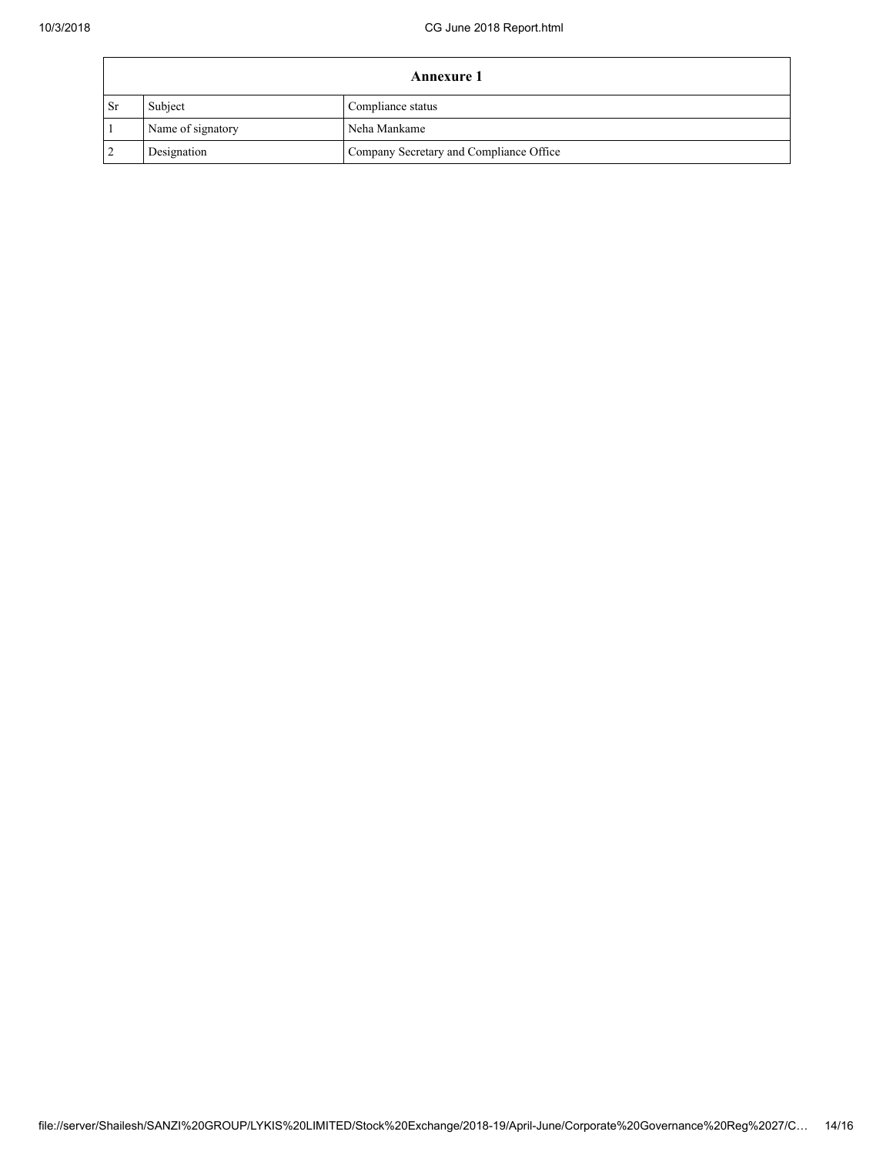| <b>Annexure 1</b> |                   |                                         |  |
|-------------------|-------------------|-----------------------------------------|--|
| <b>Sr</b>         | Subject           | Compliance status                       |  |
|                   | Name of signatory | Neha Mankame                            |  |
|                   | Designation       | Company Secretary and Compliance Office |  |